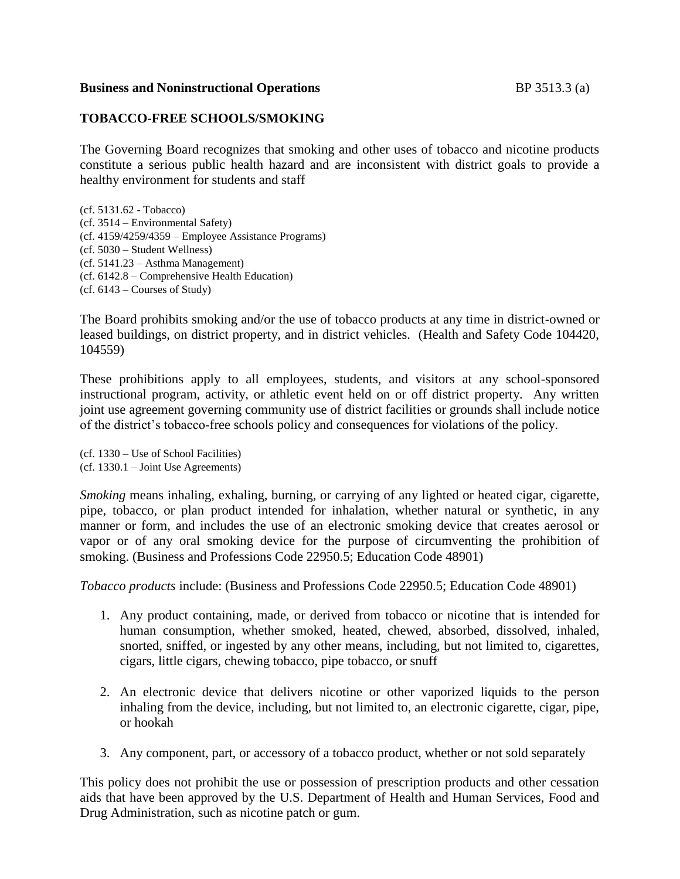# **Business and Noninstructional Operations** BP 3513.3 (a)

# **TOBACCO-FREE SCHOOLS/SMOKING**

The Governing Board recognizes that smoking and other uses of tobacco and nicotine products constitute a serious public health hazard and are inconsistent with district goals to provide a healthy environment for students and staff

(cf. 5131.62 - Tobacco) (cf. 3514 – Environmental Safety) (cf. 4159/4259/4359 – Employee Assistance Programs) (cf. 5030 – Student Wellness) (cf. 5141.23 – Asthma Management) (cf. 6142.8 – Comprehensive Health Education) (cf. 6143 – Courses of Study)

The Board prohibits smoking and/or the use of tobacco products at any time in district-owned or leased buildings, on district property, and in district vehicles. (Health and Safety Code 104420, 104559)

These prohibitions apply to all employees, students, and visitors at any school-sponsored instructional program, activity, or athletic event held on or off district property. Any written joint use agreement governing community use of district facilities or grounds shall include notice of the district's tobacco-free schools policy and consequences for violations of the policy.

(cf. 1330 – Use of School Facilities) (cf. 1330.1 – Joint Use Agreements)

*Smoking* means inhaling, exhaling, burning, or carrying of any lighted or heated cigar, cigarette, pipe, tobacco, or plan product intended for inhalation, whether natural or synthetic, in any manner or form, and includes the use of an electronic smoking device that creates aerosol or vapor or of any oral smoking device for the purpose of circumventing the prohibition of smoking. (Business and Professions Code 22950.5; Education Code 48901)

*Tobacco products* include: (Business and Professions Code 22950.5; Education Code 48901)

- 1. Any product containing, made, or derived from tobacco or nicotine that is intended for human consumption, whether smoked, heated, chewed, absorbed, dissolved, inhaled, snorted, sniffed, or ingested by any other means, including, but not limited to, cigarettes, cigars, little cigars, chewing tobacco, pipe tobacco, or snuff
- 2. An electronic device that delivers nicotine or other vaporized liquids to the person inhaling from the device, including, but not limited to, an electronic cigarette, cigar, pipe, or hookah
- 3. Any component, part, or accessory of a tobacco product, whether or not sold separately

This policy does not prohibit the use or possession of prescription products and other cessation aids that have been approved by the U.S. Department of Health and Human Services, Food and Drug Administration, such as nicotine patch or gum.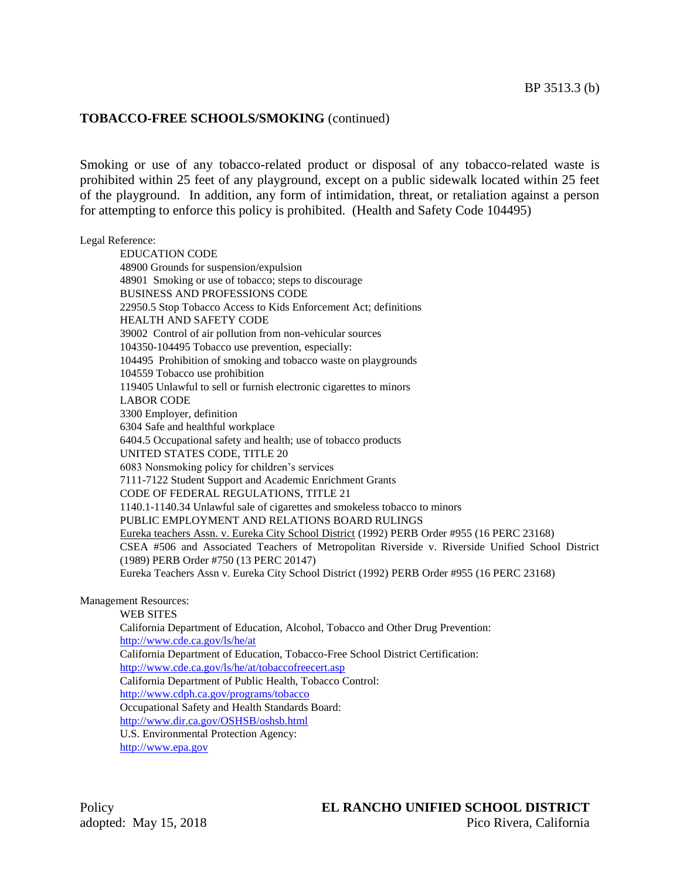# **TOBACCO-FREE SCHOOLS/SMOKING** (continued)

Smoking or use of any tobacco-related product or disposal of any tobacco-related waste is prohibited within 25 feet of any playground, except on a public sidewalk located within 25 feet of the playground. In addition, any form of intimidation, threat, or retaliation against a person for attempting to enforce this policy is prohibited. (Health and Safety Code 104495)

#### Legal Reference:

EDUCATION CODE 48900 Grounds for suspension/expulsion 48901 Smoking or use of tobacco; steps to discourage BUSINESS AND PROFESSIONS CODE 22950.5 Stop Tobacco Access to Kids Enforcement Act; definitions HEALTH AND SAFETY CODE 39002 Control of air pollution from non-vehicular sources 104350-104495 Tobacco use prevention, especially: 104495 Prohibition of smoking and tobacco waste on playgrounds 104559 Tobacco use prohibition 119405 Unlawful to sell or furnish electronic cigarettes to minors LABOR CODE 3300 Employer, definition 6304 Safe and healthful workplace 6404.5 Occupational safety and health; use of tobacco products UNITED STATES CODE, TITLE 20 6083 Nonsmoking policy for children's services 7111-7122 Student Support and Academic Enrichment Grants CODE OF FEDERAL REGULATIONS, TITLE 21 1140.1-1140.34 Unlawful sale of cigarettes and smokeless tobacco to minors PUBLIC EMPLOYMENT AND RELATIONS BOARD RULINGS Eureka teachers Assn. v. Eureka City School District (1992) PERB Order #955 (16 PERC 23168) CSEA #506 and Associated Teachers of Metropolitan Riverside v. Riverside Unified School District (1989) PERB Order #750 (13 PERC 20147) Eureka Teachers Assn v. Eureka City School District (1992) PERB Order #955 (16 PERC 23168)

### Management Resources:

WEB SITES California Department of Education, Alcohol, Tobacco and Other Drug Prevention: <http://www.cde.ca.gov/ls/he/at> California Department of Education, Tobacco-Free School District Certification: <http://www.cde.ca.gov/ls/he/at/tobaccofreecert.asp> California Department of Public Health, Tobacco Control: <http://www.cdph.ca.gov/programs/tobacco> Occupational Safety and Health Standards Board: <http://www.dir.ca.gov/OSHSB/oshsb.html> U.S. Environmental Protection Agency: [http://www.epa.gov](http://www.epa.gov/)